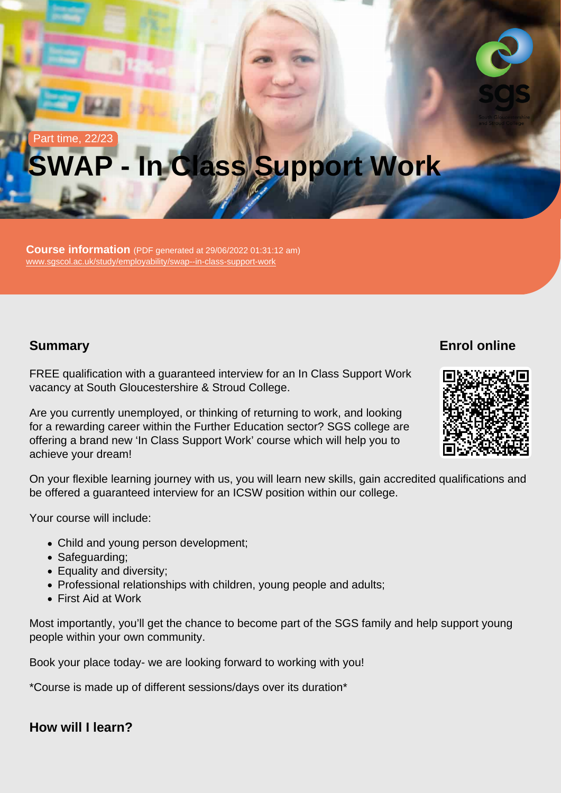# Part time, 22/23 SWAP - In Class Support Work

Course information (PDF generated at 29/06/2022 01:31:12 am) [www.sgscol.ac.uk/study/employability/swap--in-class-support-work](https://www.sgscol.ac.uk/study/employability/swap--in-class-support-work)

## **Summary**

Enrol online

FREE qualification with a guaranteed interview for an In Class Support Work vacancy at South Gloucestershire & Stroud College.

Are you currently unemployed, or thinking of returning to work, and looking for a rewarding career within the Further Education sector? SGS college are offering a brand new 'In Class Support Work' course which will help you to achieve your dream!

On your flexible learning journey with us, you will learn new skills, gain accredited qualifications and be offered a guaranteed interview for an ICSW position within our college.

Your course will include:

- Child and young person development;
- Safeguarding;
- Equality and diversity;
- Professional relationships with children, young people and adults;
- First Aid at Work

Most importantly, you'll get the chance to become part of the SGS family and help support young people within your own community.

Book your place today- we are looking forward to working with you!

\*Course is made up of different sessions/days over its duration\*

How will I learn?